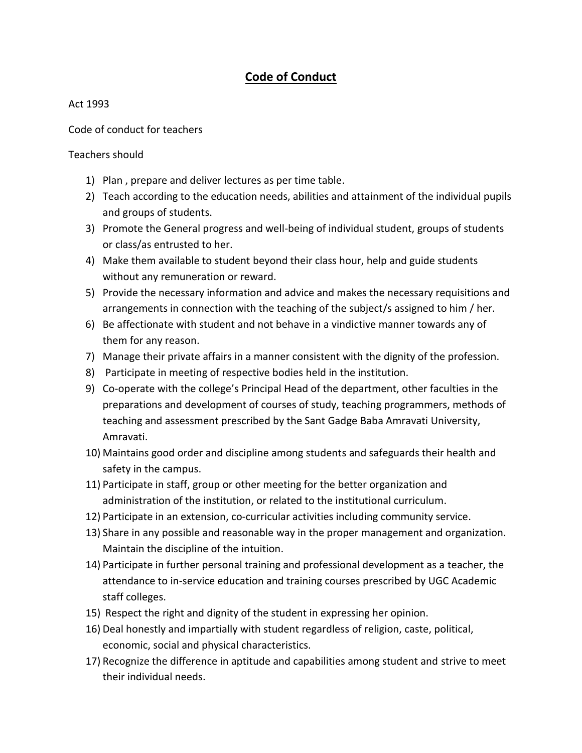## **Code of Conduct**

## Act 1993

Code of conduct for teachers

Teachers should

- 1) Plan , prepare and deliver lectures as per time table.
- 2) Teach according to the education needs, abilities and attainment of the individual pupils and groups of students.
- 3) Promote the General progress and well-being of individual student, groups of students or class/as entrusted to her.
- 4) Make them available to student beyond their class hour, help and guide students without any remuneration or reward.
- 5) Provide the necessary information and advice and makes the necessary requisitions and arrangements in connection with the teaching of the subject/s assigned to him / her.
- 6) Be affectionate with student and not behave in a vindictive manner towards any of them for any reason.
- 7) Manage their private affairs in a manner consistent with the dignity of the profession.
- 8) Participate in meeting of respective bodies held in the institution.
- 9) Co-operate with the college's Principal Head of the department, other faculties in the preparations and development of courses of study, teaching programmers, methods of teaching and assessment prescribed by the Sant Gadge Baba Amravati University, Amravati.
- 10) Maintains good order and discipline among students and safeguards their health and safety in the campus.
- 11) Participate in staff, group or other meeting for the better organization and administration of the institution, or related to the institutional curriculum.
- 12) Participate in an extension, co-curricular activities including community service.
- 13) Share in any possible and reasonable way in the proper management and organization. Maintain the discipline of the intuition.
- 14) Participate in further personal training and professional development as a teacher, the attendance to in-service education and training courses prescribed by UGC Academic staff colleges.
- 15) Respect the right and dignity of the student in expressing her opinion.
- 16) Deal honestly and impartially with student regardless of religion, caste, political, economic, social and physical characteristics.
- 17) Recognize the difference in aptitude and capabilities among student and strive to meet their individual needs.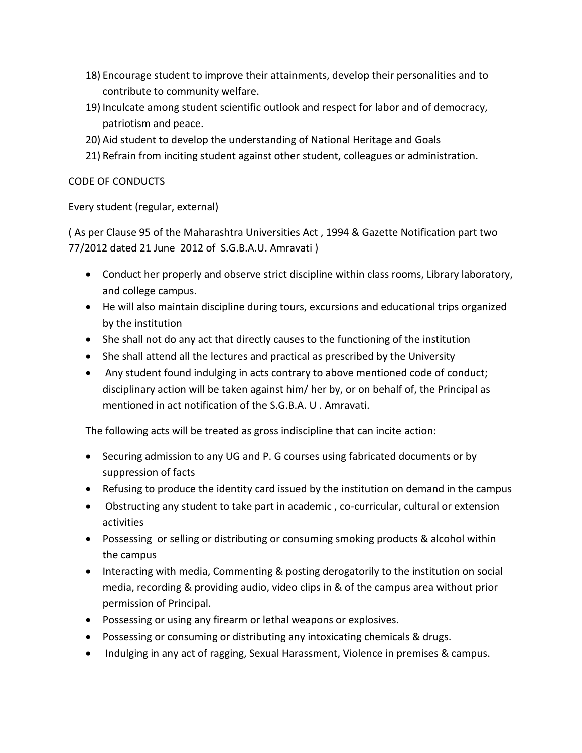- 18) Encourage student to improve their attainments, develop their personalities and to contribute to community welfare.
- 19) Inculcate among student scientific outlook and respect for labor and of democracy, patriotism and peace.
- 20) Aid student to develop the understanding of National Heritage and Goals
- 21) Refrain from inciting student against other student, colleagues or administration.

## CODE OF CONDUCTS

Every student (regular, external)

( As per Clause 95 of the Maharashtra Universities Act , 1994 & Gazette Notification part two 77/2012 dated 21 June 2012 of S.G.B.A.U. Amravati )

- Conduct her properly and observe strict discipline within class rooms, Library laboratory, and college campus.
- He will also maintain discipline during tours, excursions and educational trips organized by the institution
- She shall not do any act that directly causes to the functioning of the institution
- She shall attend all the lectures and practical as prescribed by the University
- Any student found indulging in acts contrary to above mentioned code of conduct; disciplinary action will be taken against him/ her by, or on behalf of, the Principal as mentioned in act notification of the S.G.B.A. U . Amravati.

The following acts will be treated as gross indiscipline that can incite action:

- Securing admission to any UG and P. G courses using fabricated documents or by suppression of facts
- Refusing to produce the identity card issued by the institution on demand in the campus
- Obstructing any student to take part in academic , co-curricular, cultural or extension activities
- Possessing or selling or distributing or consuming smoking products & alcohol within the campus
- Interacting with media, Commenting & posting derogatorily to the institution on social media, recording & providing audio, video clips in & of the campus area without prior permission of Principal.
- Possessing or using any firearm or lethal weapons or explosives.
- Possessing or consuming or distributing any intoxicating chemicals & drugs.
- Indulging in any act of ragging, Sexual Harassment, Violence in premises & campus.